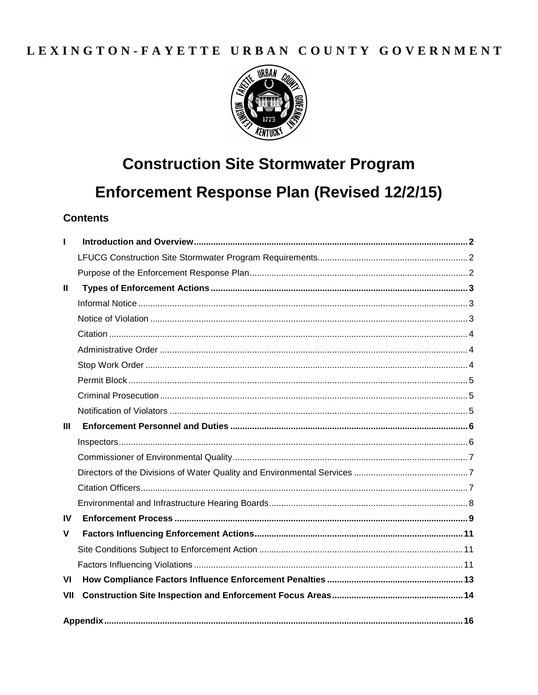# LEXINGTON-FAYETTE URBAN COUNTY GOVERNMENT



# **Construction Site Stormwater Program** Enforcement Response Plan (Revised 12/2/15)

### **Contents**

| L.             |  |
|----------------|--|
|                |  |
|                |  |
| Ш              |  |
|                |  |
|                |  |
|                |  |
|                |  |
|                |  |
|                |  |
|                |  |
|                |  |
| $\mathbf{III}$ |  |
|                |  |
|                |  |
|                |  |
|                |  |
|                |  |
| IV             |  |
| V              |  |
|                |  |
|                |  |
| VI             |  |
| VII            |  |
|                |  |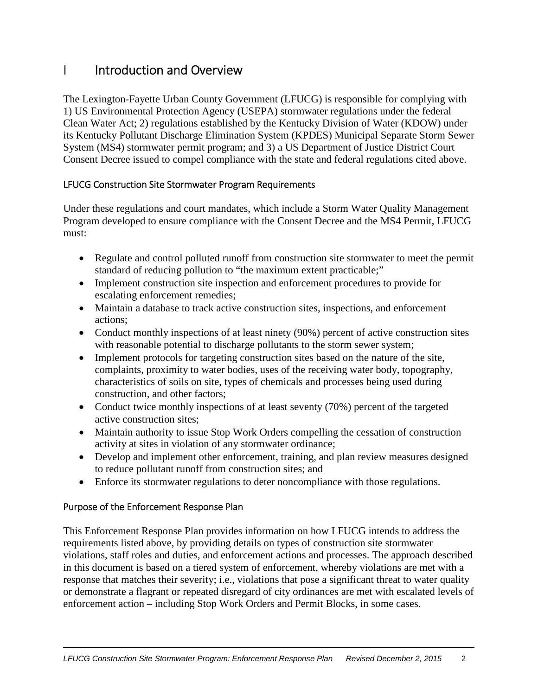# I Introduction and Overview

The Lexington-Fayette Urban County Government (LFUCG) is responsible for complying with 1) US Environmental Protection Agency (USEPA) stormwater regulations under the federal Clean Water Act; 2) regulations established by the Kentucky Division of Water (KDOW) under its Kentucky Pollutant Discharge Elimination System (KPDES) Municipal Separate Storm Sewer System (MS4) stormwater permit program; and 3) a US Department of Justice District Court Consent Decree issued to compel compliance with the state and federal regulations cited above.

### LFUCG Construction Site Stormwater Program Requirements

Under these regulations and court mandates, which include a Storm Water Quality Management Program developed to ensure compliance with the Consent Decree and the MS4 Permit, LFUCG must:

- Regulate and control polluted runoff from construction site stormwater to meet the permit standard of reducing pollution to "the maximum extent practicable;"
- Implement construction site inspection and enforcement procedures to provide for escalating enforcement remedies;
- Maintain a database to track active construction sites, inspections, and enforcement actions;
- Conduct monthly inspections of at least ninety (90%) percent of active construction sites with reasonable potential to discharge pollutants to the storm sewer system;
- Implement protocols for targeting construction sites based on the nature of the site, complaints, proximity to water bodies, uses of the receiving water body, topography, characteristics of soils on site, types of chemicals and processes being used during construction, and other factors;
- Conduct twice monthly inspections of at least seventy (70%) percent of the targeted active construction sites;
- Maintain authority to issue Stop Work Orders compelling the cessation of construction activity at sites in violation of any stormwater ordinance;
- Develop and implement other enforcement, training, and plan review measures designed to reduce pollutant runoff from construction sites; and
- Enforce its stormwater regulations to deter noncompliance with those regulations.

### Purpose of the Enforcement Response Plan

This Enforcement Response Plan provides information on how LFUCG intends to address the requirements listed above, by providing details on types of construction site stormwater violations, staff roles and duties, and enforcement actions and processes. The approach described in this document is based on a tiered system of enforcement, whereby violations are met with a response that matches their severity; i.e., violations that pose a significant threat to water quality or demonstrate a flagrant or repeated disregard of city ordinances are met with escalated levels of enforcement action – including Stop Work Orders and Permit Blocks, in some cases.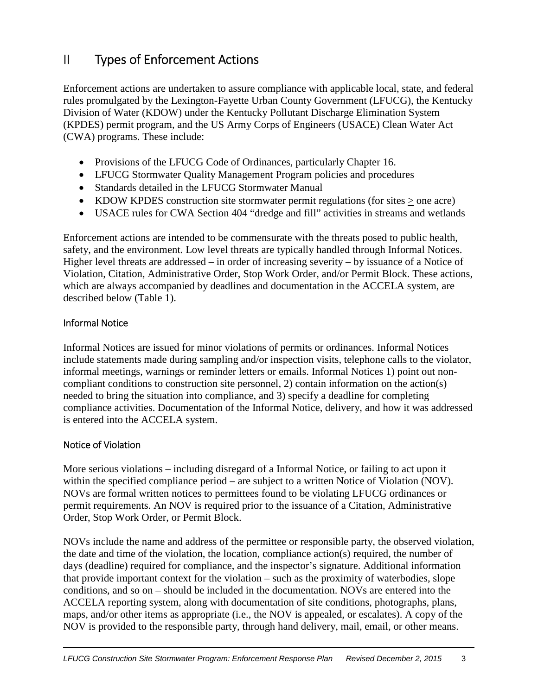# II Types of Enforcement Actions

Enforcement actions are undertaken to assure compliance with applicable local, state, and federal rules promulgated by the Lexington-Fayette Urban County Government (LFUCG), the Kentucky Division of Water (KDOW) under the Kentucky Pollutant Discharge Elimination System (KPDES) permit program, and the US Army Corps of Engineers (USACE) Clean Water Act (CWA) programs. These include:

- Provisions of the LFUCG Code of Ordinances, particularly Chapter 16.
- LFUCG Stormwater Quality Management Program policies and procedures
- Standards detailed in the LFUCG Stormwater Manual
- KDOW KPDES construction site stormwater permit regulations (for sites  $>$  one acre)
- USACE rules for CWA Section 404 "dredge and fill" activities in streams and wetlands

Enforcement actions are intended to be commensurate with the threats posed to public health, safety, and the environment. Low level threats are typically handled through Informal Notices. Higher level threats are addressed – in order of increasing severity – by issuance of a Notice of Violation, Citation, Administrative Order, Stop Work Order, and/or Permit Block. These actions, which are always accompanied by deadlines and documentation in the ACCELA system, are described below (Table 1).

#### Informal Notice

Informal Notices are issued for minor violations of permits or ordinances. Informal Notices include statements made during sampling and/or inspection visits, telephone calls to the violator, informal meetings, warnings or reminder letters or emails. Informal Notices 1) point out noncompliant conditions to construction site personnel, 2) contain information on the action(s) needed to bring the situation into compliance, and 3) specify a deadline for completing compliance activities. Documentation of the Informal Notice, delivery, and how it was addressed is entered into the ACCELA system.

#### Notice of Violation

More serious violations – including disregard of a Informal Notice, or failing to act upon it within the specified compliance period – are subject to a written Notice of Violation (NOV). NOVs are formal written notices to permittees found to be violating LFUCG ordinances or permit requirements. An NOV is required prior to the issuance of a Citation, Administrative Order, Stop Work Order, or Permit Block.

NOVs include the name and address of the permittee or responsible party, the observed violation, the date and time of the violation, the location, compliance action(s) required, the number of days (deadline) required for compliance, and the inspector's signature. Additional information that provide important context for the violation – such as the proximity of waterbodies, slope conditions, and so on – should be included in the documentation. NOVs are entered into the ACCELA reporting system, along with documentation of site conditions, photographs, plans, maps, and/or other items as appropriate (i.e., the NOV is appealed, or escalates). A copy of the NOV is provided to the responsible party, through hand delivery, mail, email, or other means.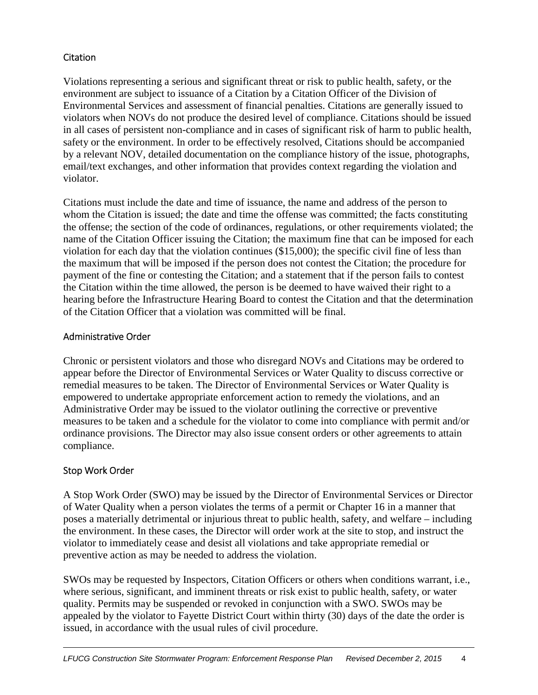#### **Citation**

Violations representing a serious and significant threat or risk to public health, safety, or the environment are subject to issuance of a Citation by a Citation Officer of the Division of Environmental Services and assessment of financial penalties. Citations are generally issued to violators when NOVs do not produce the desired level of compliance. Citations should be issued in all cases of persistent non-compliance and in cases of significant risk of harm to public health, safety or the environment. In order to be effectively resolved, Citations should be accompanied by a relevant NOV, detailed documentation on the compliance history of the issue, photographs, email/text exchanges, and other information that provides context regarding the violation and violator.

Citations must include the date and time of issuance, the name and address of the person to whom the Citation is issued; the date and time the offense was committed; the facts constituting the offense; the section of the code of ordinances, regulations, or other requirements violated; the name of the Citation Officer issuing the Citation; the maximum fine that can be imposed for each violation for each day that the violation continues (\$15,000); the specific civil fine of less than the maximum that will be imposed if the person does not contest the Citation; the procedure for payment of the fine or contesting the Citation; and a statement that if the person fails to contest the Citation within the time allowed, the person is be deemed to have waived their right to a hearing before the Infrastructure Hearing Board to contest the Citation and that the determination of the Citation Officer that a violation was committed will be final.

#### Administrative Order

Chronic or persistent violators and those who disregard NOVs and Citations may be ordered to appear before the Director of Environmental Services or Water Quality to discuss corrective or remedial measures to be taken. The Director of Environmental Services or Water Quality is empowered to undertake appropriate enforcement action to remedy the violations, and an Administrative Order may be issued to the violator outlining the corrective or preventive measures to be taken and a schedule for the violator to come into compliance with permit and/or ordinance provisions. The Director may also issue consent orders or other agreements to attain compliance.

### Stop Work Order

A Stop Work Order (SWO) may be issued by the Director of Environmental Services or Director of Water Quality when a person violates the terms of a permit or Chapter 16 in a manner that poses a materially detrimental or injurious threat to public health, safety, and welfare – including the environment. In these cases, the Director will order work at the site to stop, and instruct the violator to immediately cease and desist all violations and take appropriate remedial or preventive action as may be needed to address the violation.

SWOs may be requested by Inspectors, Citation Officers or others when conditions warrant, i.e., where serious, significant, and imminent threats or risk exist to public health, safety, or water quality. Permits may be suspended or revoked in conjunction with a SWO. SWOs may be appealed by the violator to Fayette District Court within thirty (30) days of the date the order is issued, in accordance with the usual rules of civil procedure.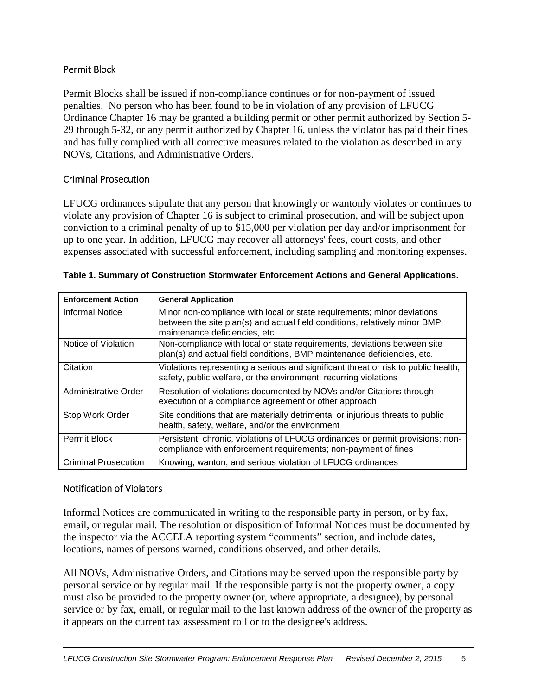#### Permit Block

Permit Blocks shall be issued if non-compliance continues or for non-payment of issued penalties. No person who has been found to be in violation of any provision of LFUCG Ordinance Chapter 16 may be granted a building permit or other permit authorized by Section 5- 29 through 5-32, or any permit authorized by Chapter 16, unless the violator has paid their fines and has fully complied with all corrective measures related to the violation as described in any NOVs, Citations, and Administrative Orders.

#### Criminal Prosecution

LFUCG ordinances stipulate that any person that knowingly or wantonly violates or continues to violate any provision of Chapter 16 is subject to criminal prosecution, and will be subject upon conviction to a criminal penalty of up to \$15,000 per violation per day and/or imprisonment for up to one year. In addition, LFUCG may recover all attorneys' fees, court costs, and other expenses associated with successful enforcement, including sampling and monitoring expenses.

| <b>Enforcement Action</b>   | <b>General Application</b>                                                                                                                                                              |  |
|-----------------------------|-----------------------------------------------------------------------------------------------------------------------------------------------------------------------------------------|--|
| Informal Notice             | Minor non-compliance with local or state requirements; minor deviations<br>between the site plan(s) and actual field conditions, relatively minor BMP<br>maintenance deficiencies, etc. |  |
| Notice of Violation         | Non-compliance with local or state requirements, deviations between site<br>plan(s) and actual field conditions, BMP maintenance deficiencies, etc.                                     |  |
| Citation                    | Violations representing a serious and significant threat or risk to public health,<br>safety, public welfare, or the environment; recurring violations                                  |  |
| Administrative Order        | Resolution of violations documented by NOVs and/or Citations through<br>execution of a compliance agreement or other approach                                                           |  |
| Stop Work Order             | Site conditions that are materially detrimental or injurious threats to public<br>health, safety, welfare, and/or the environment                                                       |  |
| <b>Permit Block</b>         | Persistent, chronic, violations of LFUCG ordinances or permit provisions; non-<br>compliance with enforcement requirements; non-payment of fines                                        |  |
| <b>Criminal Prosecution</b> | Knowing, wanton, and serious violation of LFUCG ordinances                                                                                                                              |  |

| Table 1. Summary of Construction Stormwater Enforcement Actions and General Applications. |
|-------------------------------------------------------------------------------------------|
|-------------------------------------------------------------------------------------------|

#### Notification of Violators

Informal Notices are communicated in writing to the responsible party in person, or by fax, email, or regular mail. The resolution or disposition of Informal Notices must be documented by the inspector via the ACCELA reporting system "comments" section, and include dates, locations, names of persons warned, conditions observed, and other details.

All NOVs, Administrative Orders, and Citations may be served upon the responsible party by personal service or by regular mail. If the responsible party is not the property owner, a copy must also be provided to the property owner (or, where appropriate, a designee), by personal service or by fax, email, or regular mail to the last known address of the owner of the property as it appears on the current tax assessment roll or to the designee's address.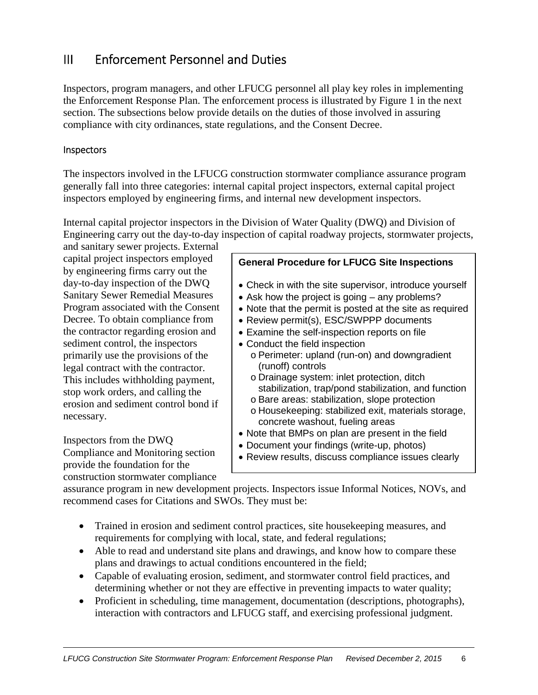## III Enforcement Personnel and Duties

Inspectors, program managers, and other LFUCG personnel all play key roles in implementing the Enforcement Response Plan. The enforcement process is illustrated by Figure 1 in the next section. The subsections below provide details on the duties of those involved in assuring compliance with city ordinances, state regulations, and the Consent Decree.

#### **Inspectors**

The inspectors involved in the LFUCG construction stormwater compliance assurance program generally fall into three categories: internal capital project inspectors, external capital project inspectors employed by engineering firms, and internal new development inspectors.

Internal capital projector inspectors in the Division of Water Quality (DWQ) and Division of Engineering carry out the day-to-day inspection of capital roadway projects, stormwater projects,

and sanitary sewer projects. External capital project inspectors employed by engineering firms carry out the day-to-day inspection of the DWQ Sanitary Sewer Remedial Measures Program associated with the Consent Decree. To obtain compliance from the contractor regarding erosion and sediment control, the inspectors primarily use the provisions of the legal contract with the contractor. This includes withholding payment, stop work orders, and calling the erosion and sediment control bond if necessary.

Inspectors from the DWQ Compliance and Monitoring section provide the foundation for the construction stormwater compliance

#### **General Procedure for LFUCG Site Inspections**

- Check in with the site supervisor, introduce yourself
- Ask how the project is going any problems?
- Note that the permit is posted at the site as required
- Review permit(s), ESC/SWPPP documents
- Examine the self-inspection reports on file
- Conduct the field inspection
	- o Perimeter: upland (run-on) and downgradient (runoff) controls
	- o Drainage system: inlet protection, ditch stabilization, trap/pond stabilization, and function
	- o Bare areas: stabilization, slope protection
	- o Housekeeping: stabilized exit, materials storage, concrete washout, fueling areas
- Note that BMPs on plan are present in the field
- Document your findings (write-up, photos)
- Review results, discuss compliance issues clearly

assurance program in new development projects. Inspectors issue Informal Notices, NOVs, and recommend cases for Citations and SWOs. They must be:

- Trained in erosion and sediment control practices, site housekeeping measures, and requirements for complying with local, state, and federal regulations;
- Able to read and understand site plans and drawings, and know how to compare these plans and drawings to actual conditions encountered in the field;
- Capable of evaluating erosion, sediment, and stormwater control field practices, and determining whether or not they are effective in preventing impacts to water quality;
- Proficient in scheduling, time management, documentation (descriptions, photographs), interaction with contractors and LFUCG staff, and exercising professional judgment.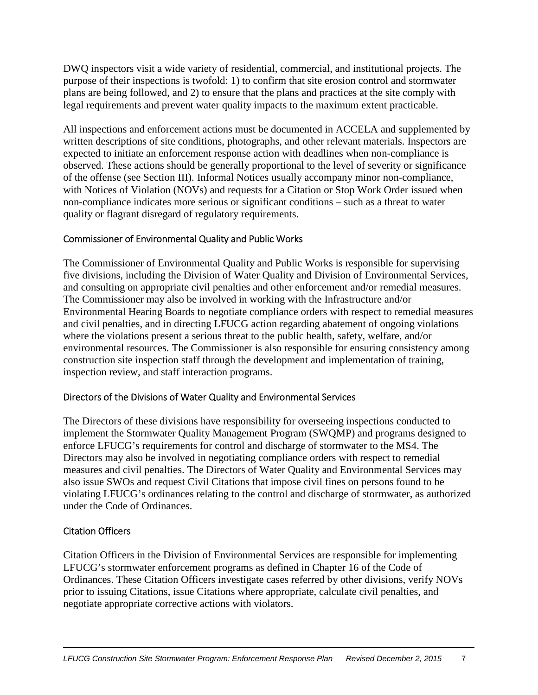DWQ inspectors visit a wide variety of residential, commercial, and institutional projects. The purpose of their inspections is twofold: 1) to confirm that site erosion control and stormwater plans are being followed, and 2) to ensure that the plans and practices at the site comply with legal requirements and prevent water quality impacts to the maximum extent practicable.

All inspections and enforcement actions must be documented in ACCELA and supplemented by written descriptions of site conditions, photographs, and other relevant materials. Inspectors are expected to initiate an enforcement response action with deadlines when non-compliance is observed. These actions should be generally proportional to the level of severity or significance of the offense (see Section III). Informal Notices usually accompany minor non-compliance, with Notices of Violation (NOVs) and requests for a Citation or Stop Work Order issued when non-compliance indicates more serious or significant conditions – such as a threat to water quality or flagrant disregard of regulatory requirements.

#### Commissioner of Environmental Quality and Public Works

The Commissioner of Environmental Quality and Public Works is responsible for supervising five divisions, including the Division of Water Quality and Division of Environmental Services, and consulting on appropriate civil penalties and other enforcement and/or remedial measures. The Commissioner may also be involved in working with the Infrastructure and/or Environmental Hearing Boards to negotiate compliance orders with respect to remedial measures and civil penalties, and in directing LFUCG action regarding abatement of ongoing violations where the violations present a serious threat to the public health, safety, welfare, and/or environmental resources. The Commissioner is also responsible for ensuring consistency among construction site inspection staff through the development and implementation of training, inspection review, and staff interaction programs.

#### Directors of the Divisions of Water Quality and Environmental Services

The Directors of these divisions have responsibility for overseeing inspections conducted to implement the Stormwater Quality Management Program (SWQMP) and programs designed to enforce LFUCG's requirements for control and discharge of stormwater to the MS4. The Directors may also be involved in negotiating compliance orders with respect to remedial measures and civil penalties. The Directors of Water Quality and Environmental Services may also issue SWOs and request Civil Citations that impose civil fines on persons found to be violating LFUCG's ordinances relating to the control and discharge of stormwater, as authorized under the Code of Ordinances.

### Citation Officers

Citation Officers in the Division of Environmental Services are responsible for implementing LFUCG's stormwater enforcement programs as defined in Chapter 16 of the Code of Ordinances. These Citation Officers investigate cases referred by other divisions, verify NOVs prior to issuing Citations, issue Citations where appropriate, calculate civil penalties, and negotiate appropriate corrective actions with violators.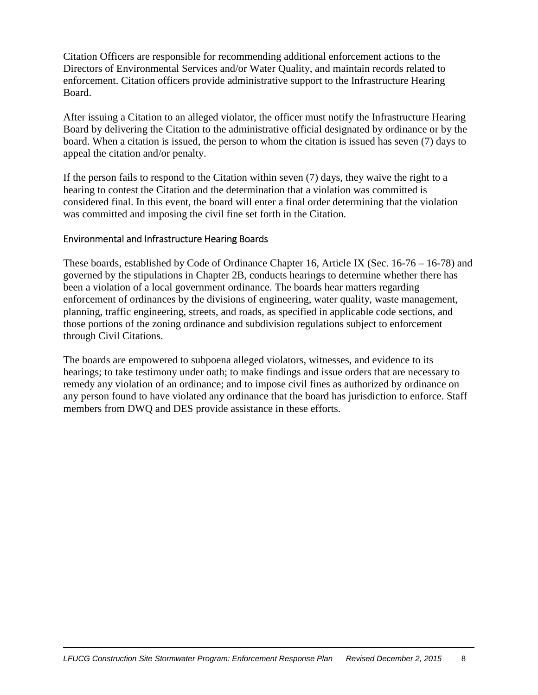Citation Officers are responsible for recommending additional enforcement actions to the Directors of Environmental Services and/or Water Quality, and maintain records related to enforcement. Citation officers provide administrative support to the Infrastructure Hearing Board.

After issuing a Citation to an alleged violator, the officer must notify the Infrastructure Hearing Board by delivering the Citation to the administrative official designated by ordinance or by the board. When a citation is issued, the person to whom the citation is issued has seven (7) days to appeal the citation and/or penalty.

If the person fails to respond to the Citation within seven (7) days, they waive the right to a hearing to contest the Citation and the determination that a violation was committed is considered final. In this event, the board will enter a final order determining that the violation was committed and imposing the civil fine set forth in the Citation.

#### Environmental and Infrastructure Hearing Boards

These boards, established by Code of Ordinance Chapter 16, Article IX (Sec. 16-76 – 16-78) and governed by the stipulations in Chapter 2B, conducts hearings to determine whether there has been a violation of a local government ordinance. The boards hear matters regarding enforcement of ordinances by the divisions of engineering, water quality, waste management, planning, traffic engineering, streets, and roads, as specified in applicable code sections, and those portions of the zoning ordinance and subdivision regulations subject to enforcement through Civil Citations.

The boards are empowered to subpoena alleged violators, witnesses, and evidence to its hearings; to take testimony under oath; to make findings and issue orders that are necessary to remedy any violation of an ordinance; and to impose civil fines as authorized by ordinance on any person found to have violated any ordinance that the board has jurisdiction to enforce. Staff members from DWQ and DES provide assistance in these efforts.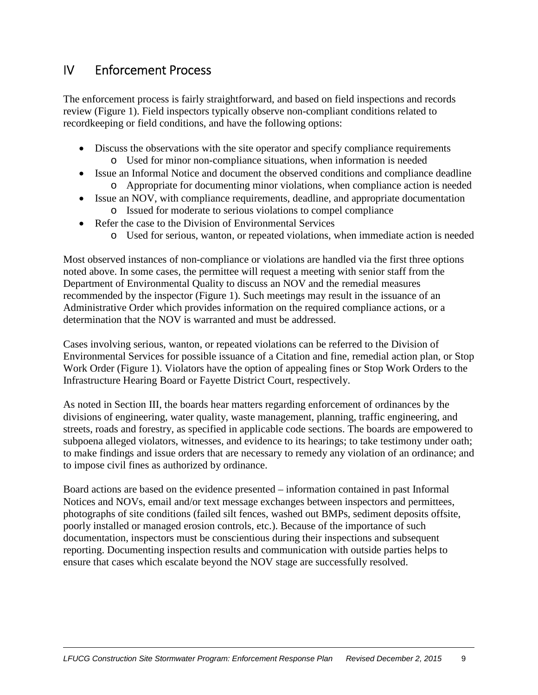### IV Enforcement Process

The enforcement process is fairly straightforward, and based on field inspections and records review (Figure 1). Field inspectors typically observe non-compliant conditions related to recordkeeping or field conditions, and have the following options:

- Discuss the observations with the site operator and specify compliance requirements o Used for minor non-compliance situations, when information is needed
- Issue an Informal Notice and document the observed conditions and compliance deadline o Appropriate for documenting minor violations, when compliance action is needed
- Issue an NOV, with compliance requirements, deadline, and appropriate documentation
	- o Issued for moderate to serious violations to compel compliance
- Refer the case to the Division of Environmental Services
	- o Used for serious, wanton, or repeated violations, when immediate action is needed

Most observed instances of non-compliance or violations are handled via the first three options noted above. In some cases, the permittee will request a meeting with senior staff from the Department of Environmental Quality to discuss an NOV and the remedial measures recommended by the inspector (Figure 1). Such meetings may result in the issuance of an Administrative Order which provides information on the required compliance actions, or a determination that the NOV is warranted and must be addressed.

Cases involving serious, wanton, or repeated violations can be referred to the Division of Environmental Services for possible issuance of a Citation and fine, remedial action plan, or Stop Work Order (Figure 1). Violators have the option of appealing fines or Stop Work Orders to the Infrastructure Hearing Board or Fayette District Court, respectively.

As noted in Section III, the boards hear matters regarding enforcement of ordinances by the divisions of engineering, water quality, waste management, planning, traffic engineering, and streets, roads and forestry, as specified in applicable code sections. The boards are empowered to subpoena alleged violators, witnesses, and evidence to its hearings; to take testimony under oath; to make findings and issue orders that are necessary to remedy any violation of an ordinance; and to impose civil fines as authorized by ordinance.

Board actions are based on the evidence presented – information contained in past Informal Notices and NOVs, email and/or text message exchanges between inspectors and permittees, photographs of site conditions (failed silt fences, washed out BMPs, sediment deposits offsite, poorly installed or managed erosion controls, etc.). Because of the importance of such documentation, inspectors must be conscientious during their inspections and subsequent reporting. Documenting inspection results and communication with outside parties helps to ensure that cases which escalate beyond the NOV stage are successfully resolved.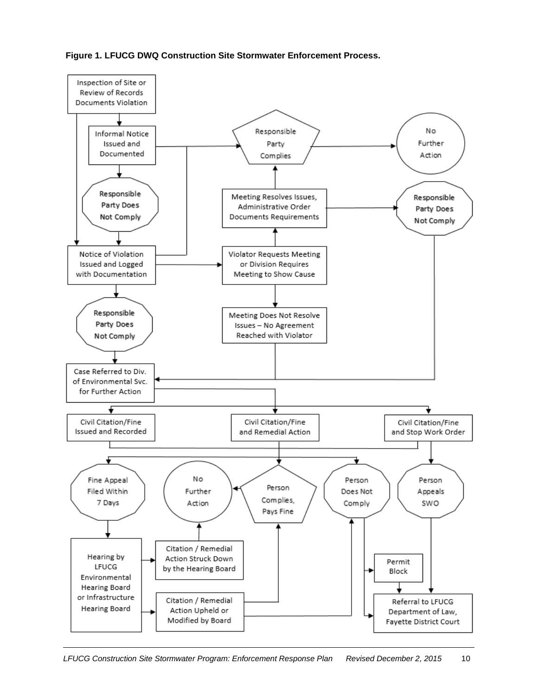**Figure 1. LFUCG DWQ Construction Site Stormwater Enforcement Process.** 

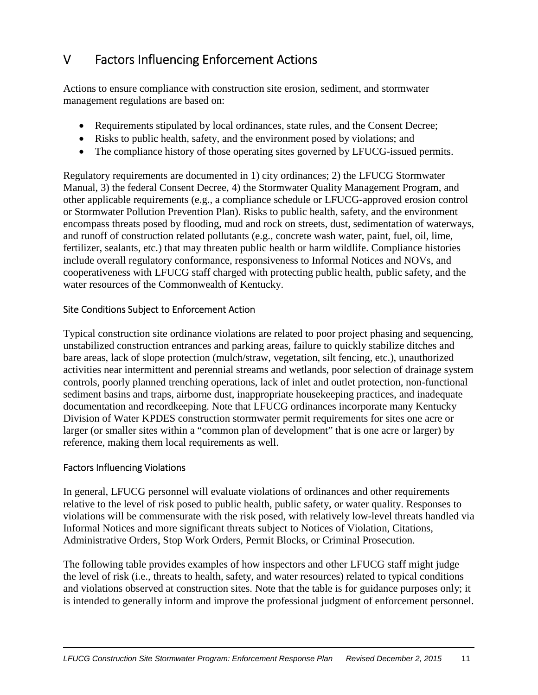# V Factors Influencing Enforcement Actions

Actions to ensure compliance with construction site erosion, sediment, and stormwater management regulations are based on:

- Requirements stipulated by local ordinances, state rules, and the Consent Decree;
- Risks to public health, safety, and the environment posed by violations; and
- The compliance history of those operating sites governed by LFUCG-issued permits.

Regulatory requirements are documented in 1) city ordinances; 2) the LFUCG Stormwater Manual, 3) the federal Consent Decree, 4) the Stormwater Quality Management Program, and other applicable requirements (e.g., a compliance schedule or LFUCG-approved erosion control or Stormwater Pollution Prevention Plan). Risks to public health, safety, and the environment encompass threats posed by flooding, mud and rock on streets, dust, sedimentation of waterways, and runoff of construction related pollutants (e.g., concrete wash water, paint, fuel, oil, lime, fertilizer, sealants, etc.) that may threaten public health or harm wildlife. Compliance histories include overall regulatory conformance, responsiveness to Informal Notices and NOVs, and cooperativeness with LFUCG staff charged with protecting public health, public safety, and the water resources of the Commonwealth of Kentucky.

#### Site Conditions Subject to Enforcement Action

Typical construction site ordinance violations are related to poor project phasing and sequencing, unstabilized construction entrances and parking areas, failure to quickly stabilize ditches and bare areas, lack of slope protection (mulch/straw, vegetation, silt fencing, etc.), unauthorized activities near intermittent and perennial streams and wetlands, poor selection of drainage system controls, poorly planned trenching operations, lack of inlet and outlet protection, non-functional sediment basins and traps, airborne dust, inappropriate housekeeping practices, and inadequate documentation and recordkeeping. Note that LFUCG ordinances incorporate many Kentucky Division of Water KPDES construction stormwater permit requirements for sites one acre or larger (or smaller sites within a "common plan of development" that is one acre or larger) by reference, making them local requirements as well.

#### Factors Influencing Violations

In general, LFUCG personnel will evaluate violations of ordinances and other requirements relative to the level of risk posed to public health, public safety, or water quality. Responses to violations will be commensurate with the risk posed, with relatively low-level threats handled via Informal Notices and more significant threats subject to Notices of Violation, Citations, Administrative Orders, Stop Work Orders, Permit Blocks, or Criminal Prosecution.

The following table provides examples of how inspectors and other LFUCG staff might judge the level of risk (i.e., threats to health, safety, and water resources) related to typical conditions and violations observed at construction sites. Note that the table is for guidance purposes only; it is intended to generally inform and improve the professional judgment of enforcement personnel.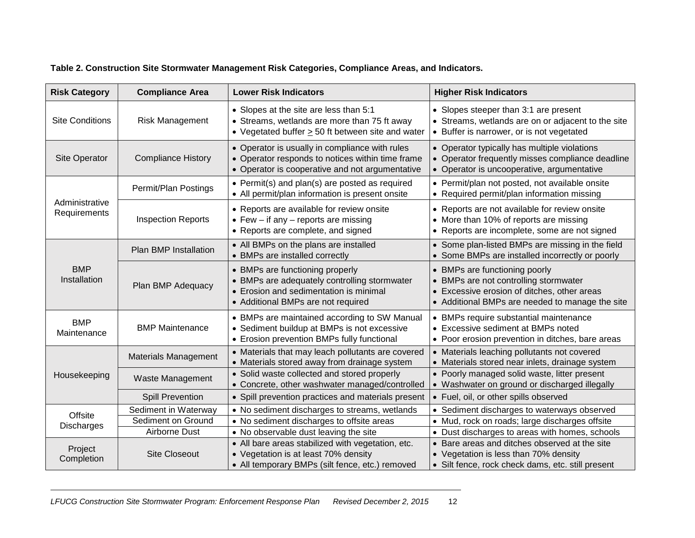|  | Table 2. Construction Site Stormwater Management Risk Categories, Compliance Areas, and Indicators. |  |
|--|-----------------------------------------------------------------------------------------------------|--|
|  |                                                                                                     |  |

| <b>Risk Category</b>                                                                                                                                                                                | <b>Compliance Area</b>       | <b>Lower Risk Indicators</b>                                                                                                                                    | <b>Higher Risk Indicators</b>                                                                                                                                            |
|-----------------------------------------------------------------------------------------------------------------------------------------------------------------------------------------------------|------------------------------|-----------------------------------------------------------------------------------------------------------------------------------------------------------------|--------------------------------------------------------------------------------------------------------------------------------------------------------------------------|
| <b>Site Conditions</b>                                                                                                                                                                              | <b>Risk Management</b>       | • Slopes at the site are less than 5:1<br>• Streams, wetlands are more than 75 ft away<br>• Vegetated buffer $\geq$ 50 ft between site and water                | • Slopes steeper than 3:1 are present<br>• Streams, wetlands are on or adjacent to the site<br>• Buffer is narrower, or is not vegetated                                 |
| • Operator is usually in compliance with rules<br><b>Compliance History</b><br>• Operator responds to notices within time frame<br>Site Operator<br>• Operator is cooperative and not argumentative |                              | • Operator typically has multiple violations<br>Operator frequently misses compliance deadline<br>• Operator is uncooperative, argumentative                    |                                                                                                                                                                          |
|                                                                                                                                                                                                     | Permit/Plan Postings         | • Permit(s) and plan(s) are posted as required<br>• All permit/plan information is present onsite                                                               | • Permit/plan not posted, not available onsite<br>• Required permit/plan information missing                                                                             |
| Administrative<br>Requirements                                                                                                                                                                      | <b>Inspection Reports</b>    | • Reports are available for review onsite<br>• Few – if any – reports are missing<br>• Reports are complete, and signed                                         | • Reports are not available for review onsite<br>• More than 10% of reports are missing<br>• Reports are incomplete, some are not signed                                 |
|                                                                                                                                                                                                     | <b>Plan BMP Installation</b> | • All BMPs on the plans are installed<br>• BMPs are installed correctly                                                                                         | • Some plan-listed BMPs are missing in the field<br>• Some BMPs are installed incorrectly or poorly                                                                      |
| <b>BMP</b><br>Installation                                                                                                                                                                          | Plan BMP Adequacy            | • BMPs are functioning properly<br>• BMPs are adequately controlling stormwater<br>• Erosion and sedimentation is minimal<br>• Additional BMPs are not required | • BMPs are functioning poorly<br>• BMPs are not controlling stormwater<br>• Excessive erosion of ditches, other areas<br>• Additional BMPs are needed to manage the site |
| <b>BMP</b><br>Maintenance                                                                                                                                                                           | <b>BMP Maintenance</b>       | • BMPs are maintained according to SW Manual<br>• Sediment buildup at BMPs is not excessive<br>• Erosion prevention BMPs fully functional                       | • BMPs require substantial maintenance<br>• Excessive sediment at BMPs noted<br>• Poor erosion prevention in ditches, bare areas                                         |
|                                                                                                                                                                                                     | Materials Management         | • Materials that may leach pollutants are covered<br>• Materials stored away from drainage system                                                               | Materials leaching pollutants not covered<br>• Materials stored near inlets, drainage system                                                                             |
| Housekeeping                                                                                                                                                                                        | Waste Management             | • Solid waste collected and stored properly<br>• Concrete, other washwater managed/controlled                                                                   | • Poorly managed solid waste, litter present<br>• Washwater on ground or discharged illegally                                                                            |
|                                                                                                                                                                                                     | <b>Spill Prevention</b>      | • Spill prevention practices and materials present                                                                                                              | • Fuel, oil, or other spills observed                                                                                                                                    |
| Offsite                                                                                                                                                                                             | Sediment in Waterway         | • No sediment discharges to streams, wetlands                                                                                                                   | • Sediment discharges to waterways observed                                                                                                                              |
| <b>Discharges</b>                                                                                                                                                                                   | Sediment on Ground           | • No sediment discharges to offsite areas                                                                                                                       | • Mud, rock on roads; large discharges offsite                                                                                                                           |
|                                                                                                                                                                                                     | Airborne Dust                | • No observable dust leaving the site                                                                                                                           | • Dust discharges to areas with homes, schools                                                                                                                           |
| Project                                                                                                                                                                                             |                              | • All bare areas stabilized with vegetation, etc.                                                                                                               | Bare areas and ditches observed at the site                                                                                                                              |
| Completion                                                                                                                                                                                          | <b>Site Closeout</b>         | • Vegetation is at least 70% density<br>• All temporary BMPs (silt fence, etc.) removed                                                                         | • Vegetation is less than 70% density<br>• Silt fence, rock check dams, etc. still present                                                                               |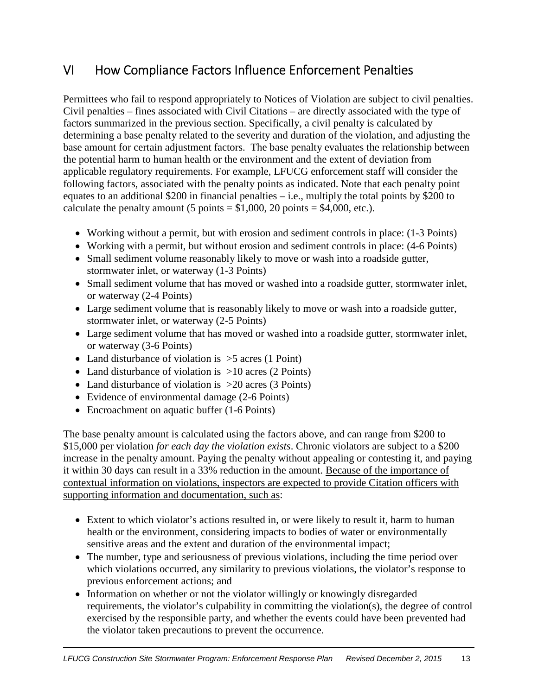# VI How Compliance Factors Influence Enforcement Penalties

Permittees who fail to respond appropriately to Notices of Violation are subject to civil penalties. Civil penalties – fines associated with Civil Citations – are directly associated with the type of factors summarized in the previous section. Specifically, a civil penalty is calculated by determining a base penalty related to the severity and duration of the violation, and adjusting the base amount for certain adjustment factors. The base penalty evaluates the relationship between the potential harm to human health or the environment and the extent of deviation from applicable regulatory requirements. For example, LFUCG enforcement staff will consider the following factors, associated with the penalty points as indicated. Note that each penalty point equates to an additional \$200 in financial penalties  $-$  i.e., multiply the total points by \$200 to calculate the penalty amount (5 points  $= $1,000, 20$  points  $= $4,000,$  etc.).

- Working without a permit, but with erosion and sediment controls in place: (1-3 Points)
- Working with a permit, but without erosion and sediment controls in place: (4-6 Points)
- Small sediment volume reasonably likely to move or wash into a roadside gutter, stormwater inlet, or waterway (1-3 Points)
- Small sediment volume that has moved or washed into a roadside gutter, stormwater inlet, or waterway (2-4 Points)
- Large sediment volume that is reasonably likely to move or wash into a roadside gutter, stormwater inlet, or waterway (2-5 Points)
- Large sediment volume that has moved or washed into a roadside gutter, stormwater inlet, or waterway (3-6 Points)
- Land disturbance of violation is  $>5$  acres (1 Point)
- Land disturbance of violation is  $>10$  acres (2 Points)
- Land disturbance of violation is >20 acres (3 Points)
- Evidence of environmental damage (2-6 Points)
- Encroachment on aquatic buffer (1-6 Points)

The base penalty amount is calculated using the factors above, and can range from \$200 to \$15,000 per violation *for each day the violation exists*. Chronic violators are subject to a \$200 increase in the penalty amount. Paying the penalty without appealing or contesting it, and paying it within 30 days can result in a 33% reduction in the amount. Because of the importance of contextual information on violations, inspectors are expected to provide Citation officers with supporting information and documentation, such as:

- Extent to which violator's actions resulted in, or were likely to result it, harm to human health or the environment, considering impacts to bodies of water or environmentally sensitive areas and the extent and duration of the environmental impact;
- The number, type and seriousness of previous violations, including the time period over which violations occurred, any similarity to previous violations, the violator's response to previous enforcement actions; and
- Information on whether or not the violator willingly or knowingly disregarded requirements, the violator's culpability in committing the violation(s), the degree of control exercised by the responsible party, and whether the events could have been prevented had the violator taken precautions to prevent the occurrence.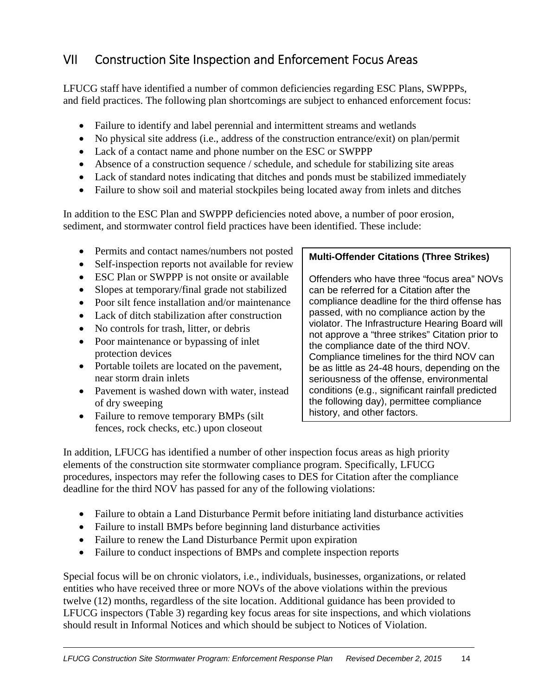# VII Construction Site Inspection and Enforcement Focus Areas

LFUCG staff have identified a number of common deficiencies regarding ESC Plans, SWPPPs, and field practices. The following plan shortcomings are subject to enhanced enforcement focus:

- Failure to identify and label perennial and intermittent streams and wetlands
- No physical site address (i.e., address of the construction entrance/exit) on plan/permit
- Lack of a contact name and phone number on the ESC or SWPPP
- Absence of a construction sequence / schedule, and schedule for stabilizing site areas
- Lack of standard notes indicating that ditches and ponds must be stabilized immediately
- Failure to show soil and material stockpiles being located away from inlets and ditches

In addition to the ESC Plan and SWPPP deficiencies noted above, a number of poor erosion, sediment, and stormwater control field practices have been identified. These include:

- Permits and contact names/numbers not posted
- Self-inspection reports not available for review
- ESC Plan or SWPPP is not onsite or available
- Slopes at temporary/final grade not stabilized
- Poor silt fence installation and/or maintenance
- Lack of ditch stabilization after construction
- No controls for trash, litter, or debris
- Poor maintenance or bypassing of inlet protection devices
- Portable toilets are located on the pavement, near storm drain inlets
- Pavement is washed down with water, instead of dry sweeping
- Failure to remove temporary BMPs (silt) fences, rock checks, etc.) upon closeout

### **Multi-Offender Citations (Three Strikes)**

Offenders who have three "focus area" NOVs can be referred for a Citation after the compliance deadline for the third offense has passed, with no compliance action by the violator. The Infrastructure Hearing Board will not approve a "three strikes" Citation prior to the compliance date of the third NOV. Compliance timelines for the third NOV can be as little as 24-48 hours, depending on the seriousness of the offense, environmental conditions (e.g., significant rainfall predicted the following day), permittee compliance history, and other factors.

In addition, LFUCG has identified a number of other inspection focus areas as high priority elements of the construction site stormwater compliance program. Specifically, LFUCG procedures, inspectors may refer the following cases to DES for Citation after the compliance deadline for the third NOV has passed for any of the following violations:

- Failure to obtain a Land Disturbance Permit before initiating land disturbance activities
- Failure to install BMPs before beginning land disturbance activities
- Failure to renew the Land Disturbance Permit upon expiration
- Failure to conduct inspections of BMPs and complete inspection reports

Special focus will be on chronic violators, i.e., individuals, businesses, organizations, or related entities who have received three or more NOVs of the above violations within the previous twelve (12) months, regardless of the site location. Additional guidance has been provided to LFUCG inspectors (Table 3) regarding key focus areas for site inspections, and which violations should result in Informal Notices and which should be subject to Notices of Violation.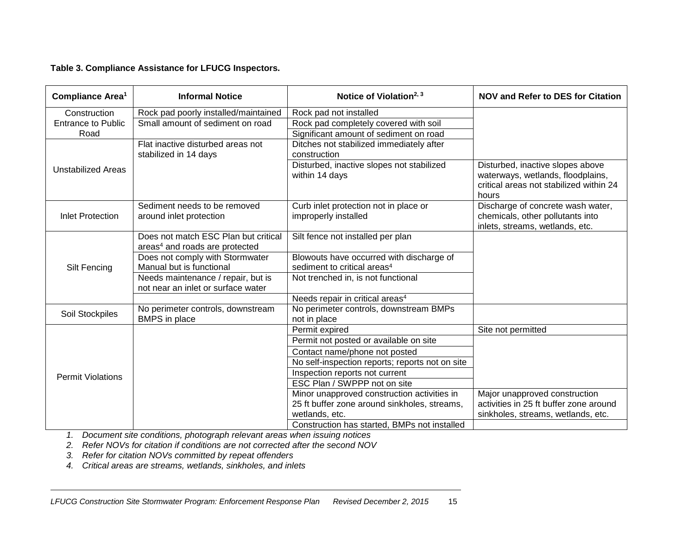#### **Table 3. Compliance Assistance for LFUCG Inspectors.**

| <b>Compliance Area<sup>1</sup></b> | <b>Informal Notice</b>                                                             | Notice of Violation <sup>2, 3</sup>                           | <b>NOV and Refer to DES for Citation</b>                                                                                  |
|------------------------------------|------------------------------------------------------------------------------------|---------------------------------------------------------------|---------------------------------------------------------------------------------------------------------------------------|
| Construction                       | Rock pad poorly installed/maintained                                               | Rock pad not installed                                        |                                                                                                                           |
| <b>Entrance to Public</b>          | Small amount of sediment on road                                                   | Rock pad completely covered with soil                         |                                                                                                                           |
| Road                               |                                                                                    | Significant amount of sediment on road                        |                                                                                                                           |
|                                    | Flat inactive disturbed areas not<br>stabilized in 14 days                         | Ditches not stabilized immediately after<br>construction      |                                                                                                                           |
| <b>Unstabilized Areas</b>          |                                                                                    | Disturbed, inactive slopes not stabilized<br>within 14 days   | Disturbed, inactive slopes above<br>waterways, wetlands, floodplains,<br>critical areas not stabilized within 24<br>hours |
| <b>Inlet Protection</b>            | Sediment needs to be removed<br>around inlet protection                            | Curb inlet protection not in place or<br>improperly installed | Discharge of concrete wash water,<br>chemicals, other pollutants into<br>inlets, streams, wetlands, etc.                  |
|                                    | Does not match ESC Plan but critical<br>areas <sup>4</sup> and roads are protected | Silt fence not installed per plan                             |                                                                                                                           |
|                                    | Does not comply with Stormwater                                                    | Blowouts have occurred with discharge of                      |                                                                                                                           |
| <b>Silt Fencing</b>                | Manual but is functional                                                           | sediment to critical areas <sup>4</sup>                       |                                                                                                                           |
|                                    | Needs maintenance / repair, but is<br>not near an inlet or surface water           | Not trenched in, is not functional                            |                                                                                                                           |
|                                    |                                                                                    | Needs repair in critical areas <sup>4</sup>                   |                                                                                                                           |
| Soil Stockpiles                    | No perimeter controls, downstream<br><b>BMPS</b> in place                          | No perimeter controls, downstream BMPs<br>not in place        |                                                                                                                           |
|                                    |                                                                                    | Permit expired                                                | Site not permitted                                                                                                        |
|                                    |                                                                                    | Permit not posted or available on site                        |                                                                                                                           |
|                                    |                                                                                    | Contact name/phone not posted                                 |                                                                                                                           |
|                                    |                                                                                    | No self-inspection reports; reports not on site               |                                                                                                                           |
| <b>Permit Violations</b>           |                                                                                    | Inspection reports not current                                |                                                                                                                           |
|                                    |                                                                                    | ESC Plan / SWPPP not on site                                  |                                                                                                                           |
|                                    |                                                                                    | Minor unapproved construction activities in                   | Major unapproved construction                                                                                             |
|                                    |                                                                                    | 25 ft buffer zone around sinkholes, streams,                  | activities in 25 ft buffer zone around                                                                                    |
|                                    |                                                                                    | wetlands, etc.                                                | sinkholes, streams, wetlands, etc.                                                                                        |
|                                    |                                                                                    | Construction has started, BMPs not installed                  |                                                                                                                           |

*1. Document site conditions, photograph relevant areas when issuing notices* 

*2. Refer NOVs for citation if conditions are not corrected after the second NOV* 

*3. Refer for citation NOVs committed by repeat offenders* 

*4. Critical areas are streams, wetlands, sinkholes, and inlets*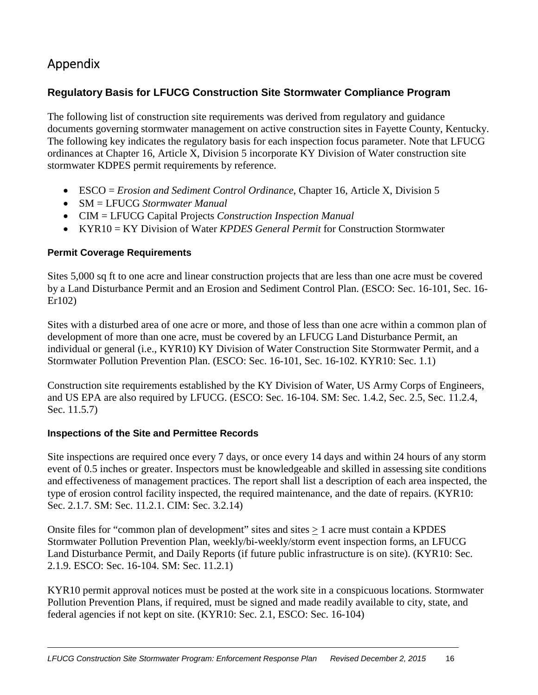# Appendix

### **Regulatory Basis for LFUCG Construction Site Stormwater Compliance Program**

The following list of construction site requirements was derived from regulatory and guidance documents governing stormwater management on active construction sites in Fayette County, Kentucky. The following key indicates the regulatory basis for each inspection focus parameter. Note that LFUCG ordinances at Chapter 16, Article X, Division 5 incorporate KY Division of Water construction site stormwater KDPES permit requirements by reference.

- ESCO = *Erosion and Sediment Control Ordinance*, Chapter 16, Article X, Division 5
- SM = LFUCG *Stormwater Manual*
- CIM = LFUCG Capital Projects *Construction Inspection Manual*
- KYR10 = KY Division of Water *KPDES General Permit* for Construction Stormwater

#### **Permit Coverage Requirements**

Sites 5,000 sq ft to one acre and linear construction projects that are less than one acre must be covered by a Land Disturbance Permit and an Erosion and Sediment Control Plan. (ESCO: Sec. 16-101, Sec. 16- Er102)

Sites with a disturbed area of one acre or more, and those of less than one acre within a common plan of development of more than one acre, must be covered by an LFUCG Land Disturbance Permit, an individual or general (i.e., KYR10) KY Division of Water Construction Site Stormwater Permit, and a Stormwater Pollution Prevention Plan. (ESCO: Sec. 16-101, Sec. 16-102. KYR10: Sec. 1.1)

Construction site requirements established by the KY Division of Water, US Army Corps of Engineers, and US EPA are also required by LFUCG. (ESCO: Sec. 16-104. SM: Sec. 1.4.2, Sec. 2.5, Sec. 11.2.4, Sec. 11.5.7)

#### **Inspections of the Site and Permittee Records**

Site inspections are required once every 7 days, or once every 14 days and within 24 hours of any storm event of 0.5 inches or greater. Inspectors must be knowledgeable and skilled in assessing site conditions and effectiveness of management practices. The report shall list a description of each area inspected, the type of erosion control facility inspected, the required maintenance, and the date of repairs. (KYR10: Sec. 2.1.7. SM: Sec. 11.2.1. CIM: Sec. 3.2.14)

Onsite files for "common plan of development" sites and sites > 1 acre must contain a KPDES Stormwater Pollution Prevention Plan, weekly/bi-weekly/storm event inspection forms, an LFUCG Land Disturbance Permit, and Daily Reports (if future public infrastructure is on site). (KYR10: Sec. 2.1.9. ESCO: Sec. 16-104. SM: Sec. 11.2.1)

KYR10 permit approval notices must be posted at the work site in a conspicuous locations. Stormwater Pollution Prevention Plans, if required, must be signed and made readily available to city, state, and federal agencies if not kept on site. (KYR10: Sec. 2.1, ESCO: Sec. 16-104)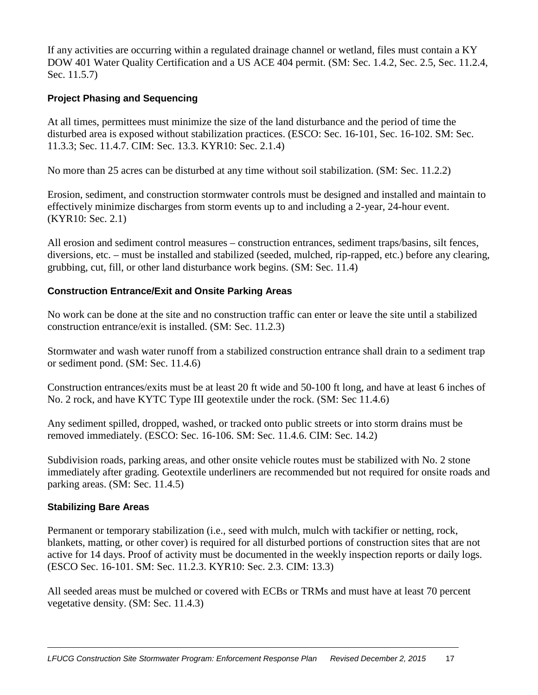If any activities are occurring within a regulated drainage channel or wetland, files must contain a KY DOW 401 Water Quality Certification and a US ACE 404 permit. (SM: Sec. 1.4.2, Sec. 2.5, Sec. 11.2.4, Sec. 11.5.7)

#### **Project Phasing and Sequencing**

At all times, permittees must minimize the size of the land disturbance and the period of time the disturbed area is exposed without stabilization practices. (ESCO: Sec. 16-101, Sec. 16-102. SM: Sec. 11.3.3; Sec. 11.4.7. CIM: Sec. 13.3. KYR10: Sec. 2.1.4)

No more than 25 acres can be disturbed at any time without soil stabilization. (SM: Sec. 11.2.2)

Erosion, sediment, and construction stormwater controls must be designed and installed and maintain to effectively minimize discharges from storm events up to and including a 2-year, 24-hour event. (KYR10: Sec. 2.1)

All erosion and sediment control measures – construction entrances, sediment traps/basins, silt fences, diversions, etc. – must be installed and stabilized (seeded, mulched, rip-rapped, etc.) before any clearing, grubbing, cut, fill, or other land disturbance work begins. (SM: Sec. 11.4)

#### **Construction Entrance/Exit and Onsite Parking Areas**

No work can be done at the site and no construction traffic can enter or leave the site until a stabilized construction entrance/exit is installed. (SM: Sec. 11.2.3)

Stormwater and wash water runoff from a stabilized construction entrance shall drain to a sediment trap or sediment pond. (SM: Sec. 11.4.6)

Construction entrances/exits must be at least 20 ft wide and 50-100 ft long, and have at least 6 inches of No. 2 rock, and have KYTC Type III geotextile under the rock. (SM: Sec 11.4.6)

Any sediment spilled, dropped, washed, or tracked onto public streets or into storm drains must be removed immediately. (ESCO: Sec. 16-106. SM: Sec. 11.4.6. CIM: Sec. 14.2)

Subdivision roads, parking areas, and other onsite vehicle routes must be stabilized with No. 2 stone immediately after grading. Geotextile underliners are recommended but not required for onsite roads and parking areas. (SM: Sec. 11.4.5)

#### **Stabilizing Bare Areas**

Permanent or temporary stabilization (i.e., seed with mulch, mulch with tackifier or netting, rock, blankets, matting, or other cover) is required for all disturbed portions of construction sites that are not active for 14 days. Proof of activity must be documented in the weekly inspection reports or daily logs. (ESCO Sec. 16-101. SM: Sec. 11.2.3. KYR10: Sec. 2.3. CIM: 13.3)

All seeded areas must be mulched or covered with ECBs or TRMs and must have at least 70 percent vegetative density. (SM: Sec. 11.4.3)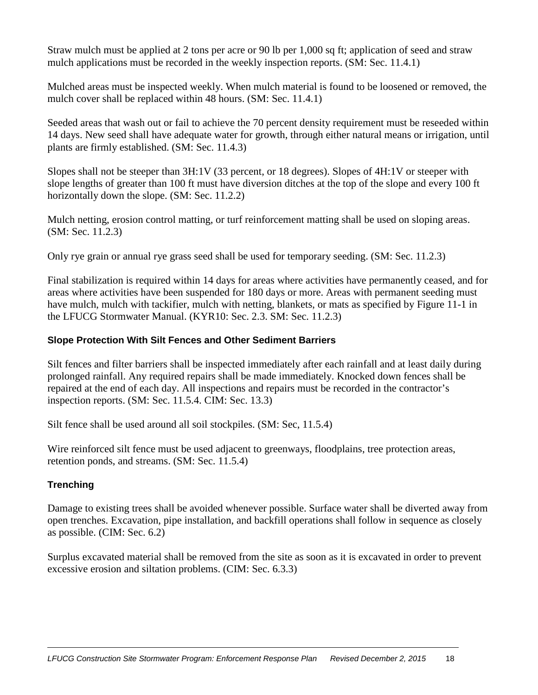Straw mulch must be applied at 2 tons per acre or 90 lb per 1,000 sq ft; application of seed and straw mulch applications must be recorded in the weekly inspection reports. (SM: Sec. 11.4.1)

Mulched areas must be inspected weekly. When mulch material is found to be loosened or removed, the mulch cover shall be replaced within 48 hours. (SM: Sec. 11.4.1)

Seeded areas that wash out or fail to achieve the 70 percent density requirement must be reseeded within 14 days. New seed shall have adequate water for growth, through either natural means or irrigation, until plants are firmly established. (SM: Sec. 11.4.3)

Slopes shall not be steeper than 3H:1V (33 percent, or 18 degrees). Slopes of 4H:1V or steeper with slope lengths of greater than 100 ft must have diversion ditches at the top of the slope and every 100 ft horizontally down the slope. (SM: Sec. 11.2.2)

Mulch netting, erosion control matting, or turf reinforcement matting shall be used on sloping areas. (SM: Sec. 11.2.3)

Only rye grain or annual rye grass seed shall be used for temporary seeding. (SM: Sec. 11.2.3)

Final stabilization is required within 14 days for areas where activities have permanently ceased, and for areas where activities have been suspended for 180 days or more. Areas with permanent seeding must have mulch, mulch with tackifier, mulch with netting, blankets, or mats as specified by Figure 11-1 in the LFUCG Stormwater Manual. (KYR10: Sec. 2.3. SM: Sec. 11.2.3)

#### **Slope Protection With Silt Fences and Other Sediment Barriers**

Silt fences and filter barriers shall be inspected immediately after each rainfall and at least daily during prolonged rainfall. Any required repairs shall be made immediately. Knocked down fences shall be repaired at the end of each day. All inspections and repairs must be recorded in the contractor's inspection reports. (SM: Sec. 11.5.4. CIM: Sec. 13.3)

Silt fence shall be used around all soil stockpiles. (SM: Sec, 11.5.4)

Wire reinforced silt fence must be used adjacent to greenways, floodplains, tree protection areas, retention ponds, and streams. (SM: Sec. 11.5.4)

#### **Trenching**

Damage to existing trees shall be avoided whenever possible. Surface water shall be diverted away from open trenches. Excavation, pipe installation, and backfill operations shall follow in sequence as closely as possible. (CIM: Sec. 6.2)

Surplus excavated material shall be removed from the site as soon as it is excavated in order to prevent excessive erosion and siltation problems. (CIM: Sec. 6.3.3)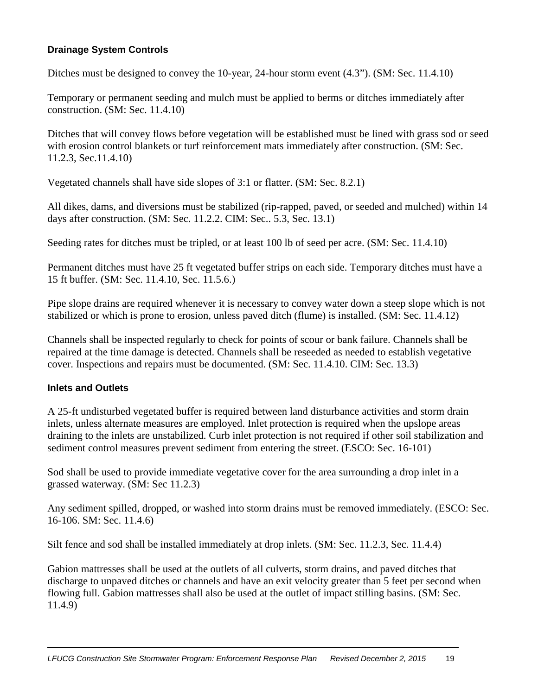#### **Drainage System Controls**

Ditches must be designed to convey the 10-year, 24-hour storm event  $(4.3)$ . (SM: Sec. 11.4.10)

Temporary or permanent seeding and mulch must be applied to berms or ditches immediately after construction. (SM: Sec. 11.4.10)

Ditches that will convey flows before vegetation will be established must be lined with grass sod or seed with erosion control blankets or turf reinforcement mats immediately after construction. (SM: Sec. 11.2.3, Sec.11.4.10)

Vegetated channels shall have side slopes of 3:1 or flatter. (SM: Sec. 8.2.1)

All dikes, dams, and diversions must be stabilized (rip-rapped, paved, or seeded and mulched) within 14 days after construction. (SM: Sec. 11.2.2. CIM: Sec.. 5.3, Sec. 13.1)

Seeding rates for ditches must be tripled, or at least 100 lb of seed per acre. (SM: Sec. 11.4.10)

Permanent ditches must have 25 ft vegetated buffer strips on each side. Temporary ditches must have a 15 ft buffer. (SM: Sec. 11.4.10, Sec. 11.5.6.)

Pipe slope drains are required whenever it is necessary to convey water down a steep slope which is not stabilized or which is prone to erosion, unless paved ditch (flume) is installed. (SM: Sec. 11.4.12)

Channels shall be inspected regularly to check for points of scour or bank failure. Channels shall be repaired at the time damage is detected. Channels shall be reseeded as needed to establish vegetative cover. Inspections and repairs must be documented. (SM: Sec. 11.4.10. CIM: Sec. 13.3)

#### **Inlets and Outlets**

A 25-ft undisturbed vegetated buffer is required between land disturbance activities and storm drain inlets, unless alternate measures are employed. Inlet protection is required when the upslope areas draining to the inlets are unstabilized. Curb inlet protection is not required if other soil stabilization and sediment control measures prevent sediment from entering the street. (ESCO: Sec. 16-101)

Sod shall be used to provide immediate vegetative cover for the area surrounding a drop inlet in a grassed waterway. (SM: Sec 11.2.3)

Any sediment spilled, dropped, or washed into storm drains must be removed immediately. (ESCO: Sec. 16-106. SM: Sec. 11.4.6)

Silt fence and sod shall be installed immediately at drop inlets. (SM: Sec. 11.2.3, Sec. 11.4.4)

Gabion mattresses shall be used at the outlets of all culverts, storm drains, and paved ditches that discharge to unpaved ditches or channels and have an exit velocity greater than 5 feet per second when flowing full. Gabion mattresses shall also be used at the outlet of impact stilling basins. (SM: Sec. 11.4.9)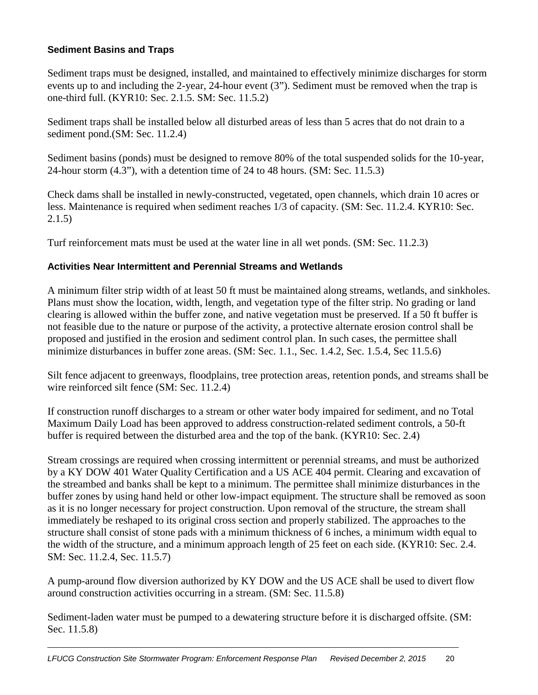#### **Sediment Basins and Traps**

Sediment traps must be designed, installed, and maintained to effectively minimize discharges for storm events up to and including the 2-year, 24-hour event (3"). Sediment must be removed when the trap is one-third full. (KYR10: Sec. 2.1.5. SM: Sec. 11.5.2)

Sediment traps shall be installed below all disturbed areas of less than 5 acres that do not drain to a sediment pond.(SM: Sec. 11.2.4)

Sediment basins (ponds) must be designed to remove 80% of the total suspended solids for the 10-year, 24-hour storm (4.3"), with a detention time of 24 to 48 hours. (SM: Sec. 11.5.3)

Check dams shall be installed in newly-constructed, vegetated, open channels, which drain 10 acres or less. Maintenance is required when sediment reaches 1/3 of capacity. (SM: Sec. 11.2.4. KYR10: Sec. 2.1.5)

Turf reinforcement mats must be used at the water line in all wet ponds. (SM: Sec. 11.2.3)

#### **Activities Near Intermittent and Perennial Streams and Wetlands**

A minimum filter strip width of at least 50 ft must be maintained along streams, wetlands, and sinkholes. Plans must show the location, width, length, and vegetation type of the filter strip. No grading or land clearing is allowed within the buffer zone, and native vegetation must be preserved. If a 50 ft buffer is not feasible due to the nature or purpose of the activity, a protective alternate erosion control shall be proposed and justified in the erosion and sediment control plan. In such cases, the permittee shall minimize disturbances in buffer zone areas. (SM: Sec. 1.1., Sec. 1.4.2, Sec. 1.5.4, Sec 11.5.6)

Silt fence adjacent to greenways, floodplains, tree protection areas, retention ponds, and streams shall be wire reinforced silt fence (SM: Sec. 11.2.4)

If construction runoff discharges to a stream or other water body impaired for sediment, and no Total Maximum Daily Load has been approved to address construction-related sediment controls, a 50-ft buffer is required between the disturbed area and the top of the bank. (KYR10: Sec. 2.4)

Stream crossings are required when crossing intermittent or perennial streams, and must be authorized by a KY DOW 401 Water Quality Certification and a US ACE 404 permit. Clearing and excavation of the streambed and banks shall be kept to a minimum. The permittee shall minimize disturbances in the buffer zones by using hand held or other low-impact equipment. The structure shall be removed as soon as it is no longer necessary for project construction. Upon removal of the structure, the stream shall immediately be reshaped to its original cross section and properly stabilized. The approaches to the structure shall consist of stone pads with a minimum thickness of 6 inches, a minimum width equal to the width of the structure, and a minimum approach length of 25 feet on each side. (KYR10: Sec. 2.4. SM: Sec. 11.2.4, Sec. 11.5.7)

A pump-around flow diversion authorized by KY DOW and the US ACE shall be used to divert flow around construction activities occurring in a stream. (SM: Sec. 11.5.8)

Sediment-laden water must be pumped to a dewatering structure before it is discharged offsite. (SM: Sec. 11.5.8)